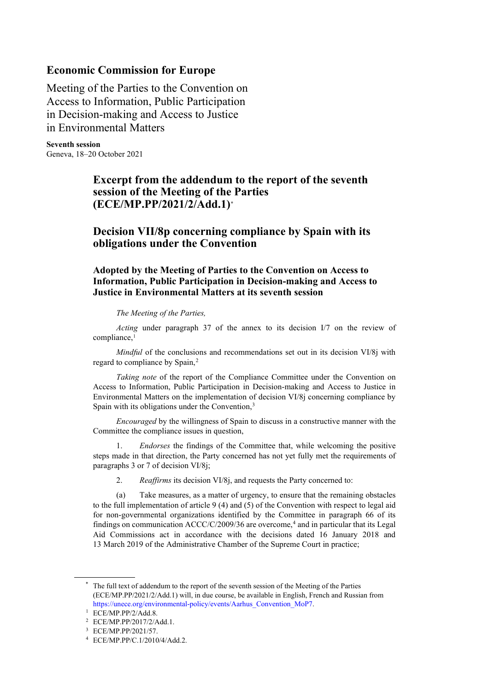## **Economic Commission for Europe**

Meeting of the Parties to the Convention on Access to Information, Public Participation in Decision-making and Access to Justice in Environmental Matters

**Seventh session** Geneva, 18–20 October 2021

## **Excerpt from the addendum to the report of the seventh session of the Meeting of the Parties (ECE/MP.PP/2021/2/Add.1)[\\*](#page-0-0)**

## **Decision VII/8p concerning compliance by Spain with its obligations under the Convention**

**Adopted by the Meeting of Parties to the Convention on Access to Information, Public Participation in Decision-making and Access to Justice in Environmental Matters at its seventh session**

*The Meeting of the Parties,* 

*Acting* under paragraph 37 of the annex to its decision I/7 on the review of compliance,<sup>[1](#page-0-1)</sup>

*Mindful* of the conclusions and recommendations set out in its decision VI/8j with regard to compliance by Spain,<sup>[2](#page-0-2)</sup>

*Taking note* of the report of the Compliance Committee under the Convention on Access to Information, Public Participation in Decision-making and Access to Justice in Environmental Matters on the implementation of decision VI/8j concerning compliance by Spain with its obligations under the Convention,<sup>[3](#page-0-3)</sup>

*Encouraged* by the willingness of Spain to discuss in a constructive manner with the Committee the compliance issues in question,

1. *Endorses* the findings of the Committee that, while welcoming the positive steps made in that direction, the Party concerned has not yet fully met the requirements of paragraphs 3 or 7 of decision VI/8j;

2. *Reaffirms* its decision VI/8j, and requests the Party concerned to:

(a) Take measures, as a matter of urgency, to ensure that the remaining obstacles to the full implementation of article  $9(4)$  and  $(5)$  of the Convention with respect to legal aid for non-governmental organizations identified by the Committee in paragraph 66 of its findings on communication  $ACCC/C/2009/36$  are overcome,<sup>[4](#page-0-4)</sup> and in particular that its Legal Aid Commissions act in accordance with the decisions dated 16 January 2018 and 13 March 2019 of the Administrative Chamber of the Supreme Court in practice;

<span id="page-0-0"></span><sup>\*</sup> The full text of addendum to the report of the seventh session of the Meeting of the Parties (ECE/MP.PP/2021/2/Add.1) will, in due course, be available in English, French and Russian from [https://unece.org/environmental-policy/events/Aarhus\\_Convention\\_MoP7.](https://unece.org/environmental-policy/events/Aarhus_Convention_MoP7)

<sup>1</sup> ECE/MP.PP/2/Add.8.

<span id="page-0-2"></span><span id="page-0-1"></span><sup>2</sup> ECE/MP.PP/2017/2/Add.1.

<span id="page-0-3"></span><sup>3</sup> ECE/MP.PP/2021/57.

<span id="page-0-4"></span><sup>4</sup> ECE/MP.PP/C.1/2010/4/Add.2.